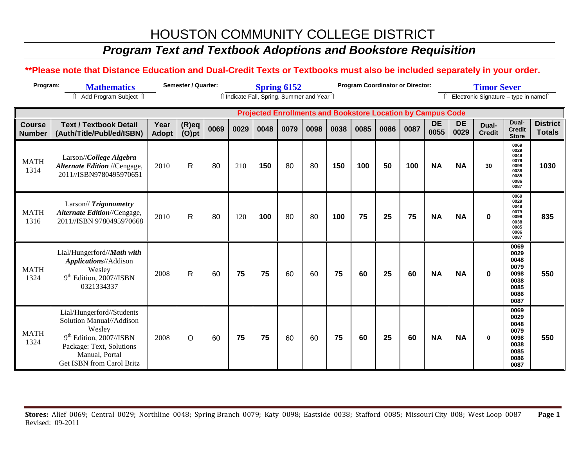# *Program Text and Textbook Adoptions and Bookstore Requisition*

#### **\*\*Please note that Distance Education and Dual-Credit Texts or Textbooks must also be included separately in your order.**

| Program:                       | <b>Mathematics</b>                                                                                                                                                      | <b>Semester / Quarter:</b> |                      |      |      | <b>Spring 6152</b>                         |      |      |      | <b>Program Coordinator or Director:</b> |      |      |                                                                    | <b>Timor Sever</b> |                                       |                                                                      |                                  |  |
|--------------------------------|-------------------------------------------------------------------------------------------------------------------------------------------------------------------------|----------------------------|----------------------|------|------|--------------------------------------------|------|------|------|-----------------------------------------|------|------|--------------------------------------------------------------------|--------------------|---------------------------------------|----------------------------------------------------------------------|----------------------------------|--|
|                                | ⇑<br>Add Program Subject 1                                                                                                                                              |                            |                      |      |      | î Indicate Fall, Spring, Summer and Year î |      |      |      |                                         |      |      | ⇑                                                                  |                    | Electronic Signature - type in namest |                                                                      |                                  |  |
|                                |                                                                                                                                                                         |                            |                      |      |      |                                            |      |      |      |                                         |      |      | <b>Projected Enrollments and Bookstore Location by Campus Code</b> |                    |                                       |                                                                      |                                  |  |
| <b>Course</b><br><b>Number</b> | <b>Text / Textbook Detail</b><br>(Auth/Title/Publ/ed/ISBN)                                                                                                              | Year<br><b>Adopt</b>       | $(R)$ eq<br>$(O)$ pt | 0069 | 0029 | 0048                                       | 0079 | 0098 | 0038 | 0085                                    | 0086 | 0087 | <b>DE</b><br>0055                                                  | <b>DE</b><br>0029  | Dual-<br><b>Credit</b>                | Dual-<br><b>Credit</b><br><b>Store</b>                               | <b>District</b><br><b>Totals</b> |  |
| <b>MATH</b><br>1314            | Larson//College Algebra<br>Alternate Edition //Cengage,<br>2011//ISBN9780495970651                                                                                      | 2010                       | $\mathsf{R}$         | 80   | 210  | 150                                        | 80   | 80   | 150  | 100                                     | 50   | 100  | <b>NA</b>                                                          | <b>NA</b>          | 30                                    | 0069<br>0029<br>0048<br>0079<br>0098<br>0038<br>0085<br>0086<br>0087 | 1030                             |  |
| <b>MATH</b><br>1316            | Larson// Trigonometry<br>Alternate Edition//Cengage,<br>2011//ISBN 9780495970668                                                                                        | 2010                       | $\mathsf{R}$         | 80   | 120  | 100                                        | 80   | 80   | 100  | 75                                      | 25   | 75   | <b>NA</b>                                                          | <b>NA</b>          | 0                                     | 0069<br>0029<br>0048<br>0079<br>0098<br>0038<br>0085<br>0086<br>0087 | 835                              |  |
| <b>MATH</b><br>1324            | Lial/Hungerford//Math with<br>Applications//Addison<br>Wesley<br>9 <sup>th</sup> Edition, 2007//ISBN<br>0321334337                                                      | 2008                       | $\mathsf{R}$         | 60   | 75   | 75                                         | 60   | 60   | 75   | 60                                      | 25   | 60   | <b>NA</b>                                                          | <b>NA</b>          | 0                                     | 0069<br>0029<br>0048<br>0079<br>0098<br>0038<br>0085<br>0086<br>0087 | 550                              |  |
| <b>MATH</b><br>1324            | Lial/Hungerford//Students<br>Solution Manual//Addison<br>Wesley<br>$9th$ Edition, 2007//ISBN<br>Package: Text, Solutions<br>Manual, Portal<br>Get ISBN from Carol Britz | 2008                       | O                    | 60   | 75   | 75                                         | 60   | 60   | 75   | 60                                      | 25   | 60   | <b>NA</b>                                                          | <b>NA</b>          | $\bf{0}$                              | 0069<br>0029<br>0048<br>0079<br>0098<br>0038<br>0085<br>0086<br>0087 | 550                              |  |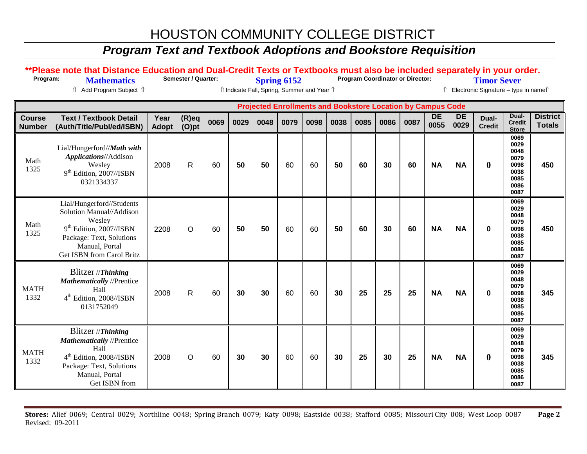### *Program Text and Textbook Adoptions and Bookstore Requisition*

#### \*\*Please note that Distance Education and Dual-Credit Texts or Textbooks must also be included separately in your order.<br>Program: Mathematics Semester / Quarter: Spring 6152 Program Coordinator or Director: Timor Sever<br> ⇑ Add Program Subject ⇑ ⇑ Indicate Fall, Spring, Summer and Year ⇑ ⇑ Electronic Signature – type in name⇑  **Projected Enrollments and Bookstore Location by Campus Code Course Number Text / Textbook Detail (Auth/Title/Publ/ed/ISBN) Year Adopt (R)eq (O)pt <sup>0069</sup> <sup>0029</sup> <sup>0048</sup> <sup>0079</sup> <sup>0098</sup> <sup>0038</sup> <sup>0085</sup> <sup>0086</sup> <sup>0087</sup> DE 0055 DE 0029 Dual-Credit Dual-Credit Store District Totals** Math 1325 Lial/Hungerford//*Math with Applications*//Addison Wesley 9<sup>th</sup> Edition, 2007//ISBN 0321334337 2008 R 60 **50 50** 60 60 **50 60 30 60 NA NA 0 0069 0029 0048 0079 0098 0038 0085 0086 0087 450** Math 1325 Lial/Hungerford//Students Solution Manual//Addison Wesley 9<sup>th</sup> Edition, 2007//ISBN Package: Text, Solutions Manual, Portal Get ISBN from Carol Britz 2208 O 60 **50 50** 60 60 **50 60 30 60 NA NA 0 0069 0029 0048 0079 0098 0038 0085 0086 0087 450** MATH 1332 Blitzer //*Thinking Mathematically* //Prentice Hall 4<sup>th</sup> Edition, 2008//ISBN 0131752049 2008 R 60 **30 30** 60 60 **30 25 25 25 NA NA 0 0069 0029 0048 0079 0098 0038 0085 0086 0087 345** MATH 1332 Blitzer //*Thinking Mathematically* //Prentice Hall 4th Edition, 2008//ISBN Package: Text, Solutions Manual, Portal Get ISBN from 2008 O 60 **30 30** 60 60 **30 25 30 25 NA NA 0 0069 0029 0048 0079 0098 0038 0085 0086 0087 345**

**Stores:** Alief 0069; Central 0029; Northline 0048; Spring Branch 0079; Katy 0098; Eastside 0038; Stafford 0085; Missouri City 008; West Loop 0087 **Page 2** Revised: 09-2011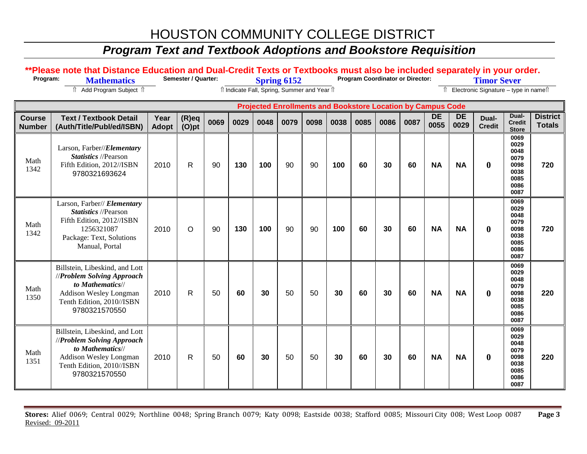### *Program Text and Textbook Adoptions and Bookstore Requisition*

#### \*\*Please note that Distance Education and Dual-Credit Texts or Textbooks must also be included separately in your order.<br>Program: Mathematics Semester / Quarter: Spring 6152 Program Coordinator or Director: Timor Sever<br> ⇑ Add Program Subject ⇑ ⇑ Indicate Fall, Spring, Summer and Year ⇑ ⇑ Electronic Signature – type in name⇑  **Projected Enrollments and Bookstore Location by Campus Code Course Number Text / Textbook Detail (Auth/Title/Publ/ed/ISBN) Year Adopt (R)eq (O)pt <sup>0069</sup> <sup>0029</sup> <sup>0048</sup> <sup>0079</sup> <sup>0098</sup> <sup>0038</sup> <sup>0085</sup> <sup>0086</sup> <sup>0087</sup> DE 0055 DE 0029 Dual-Credit Dual-Credit Store District Totals** Math 1342 Larson, Farber//*Elementary Statistics* //Pearson Fifth Edition, 2012//ISBN 9780321693624 2010 R 90 **130 100** 90 90 **100 60 30 60 NA NA 0 0069 0029 0048 0079 0098 0038 0085 0086 0087 720** Math 1342 Larson, Farber// *Elementary Statistics* //Pearson Fifth Edition, 2012//ISBN 1256321087 Package: Text, Solutions Manual, Portal 2010 O 90 **130 100** 90 90 **100 60 30 60 NA NA 0 0069 0029 0048 0079 0098 0038 0085 0086 0087 720** Math 1350 Billstein, Libeskind, and Lott //*Problem Solving Approach to Mathematics*// Addison Wesley Longman Tenth Edition, 2010//ISBN 9780321570550 2010 R 50 **60 30** 50 50 **30 60 30 60 NA NA 0 0069 0029 0048 0079 0098 0038 0085 0086 0087 220** Math 1351 Billstein, Libeskind, and Lott //*Problem Solving Approach to Mathematics*// Addison Wesley Longman Tenth Edition, 2010//ISBN 9780321570550 2010 R 50 **60 30** 50 50 **30 60 30 60 NA NA 0 0069 0029 0048 0079 0098 0038 0085 0086 0087 220**

**Stores:** Alief 0069; Central 0029; Northline 0048; Spring Branch 0079; Katy 0098; Eastside 0038; Stafford 0085; Missouri City 008; West Loop 0087 **Page 3** Revised: 09-2011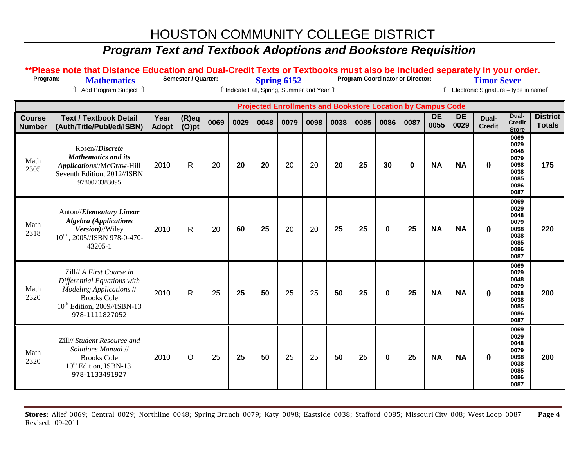### *Program Text and Textbook Adoptions and Bookstore Requisition*

#### \*\*Please note that Distance Education and Dual-Credit Texts or Textbooks must also be included separately in your order.<br>Program: Mathematics Semester / Quarter: Spring 6152 Program Coordinator or Director: Timor Sever ⇑ Add Program Subject ⇑ ⇑ Indicate Fall, Spring, Summer and Year ⇑ ⇑ Electronic Signature – type in name⇑  **Projected Enrollments and Bookstore Location by Campus Code Course Number Text / Textbook Detail (Auth/Title/Publ/ed/ISBN) Year Adopt (R)eq (O)pt <sup>0069</sup> <sup>0029</sup> <sup>0048</sup> <sup>0079</sup> <sup>0098</sup> <sup>0038</sup> <sup>0085</sup> <sup>0086</sup> <sup>0087</sup> DE 0055 DE 0029 Dual-Credit Dual-Credit Store District Totals** Math 2305 Rosen//*Discrete Mathematics and its Applications*//McGraw-Hill Seventh Edition, 2012//ISBN 9780073383095 2010 R 20 **20 20** 20 20 **20 25 30 0 NA NA 0 0069 0029 0048 0079 0098 0038 0085 0086 0087 175** Math 2318 Anton//*Elementary Linear Algebra (Applications Version)*//Wiley 10th , 2005//ISBN 978-0-470- 43205-1 2010 R 20 **60 25** 20 20 **25 25 0 25 NA NA 0 0069 0029 0048 0079 0098 0038 0085 0086 0087 220** Math 2320 Zill// *A First Course in Differential Equations with Modeling Applications* // Brooks Cole 10th Edition, 2009//ISBN-13 978-1111827052 2010 R 25 **25 50** 25 25 **50 25 0 25 NA NA 0 0069 0029 0048 0079 0098 0038 0085 0086 0087 200** Math 2320 Zill// *Student Resource and Solutions Manual* // Brooks Cole 10<sup>th</sup> Edition, ISBN-13 978-1133491927 2010 O 25 **25 50** 25 25 **50 25 0 25 NA NA 0 0069 0029 0048 0079 0098 0038 0085 0086 0087 200**

**Stores:** Alief 0069; Central 0029; Northline 0048; Spring Branch 0079; Katy 0098; Eastside 0038; Stafford 0085; Missouri City 008; West Loop 0087 **Page 4** Revised: 09-2011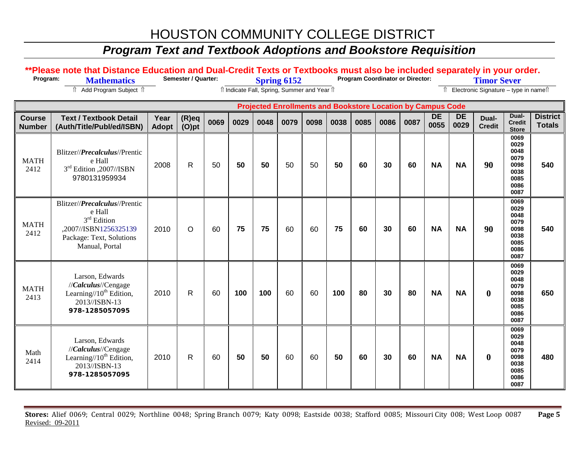### *Program Text and Textbook Adoptions and Bookstore Requisition*

#### \*\*Please note that Distance Education and Dual-Credit Texts or Textbooks must also be included separately in your order.<br>Program: Mathematics Semester / Quarter: Spring 6152 Program Coordinator or Director: Timor Sever<br> ⇑ Add Program Subject ⇑ ⇑ Indicate Fall, Spring, Summer and Year ⇑ ⇑ Electronic Signature – type in name⇑  **Projected Enrollments and Bookstore Location by Campus Code Course Number Text / Textbook Detail (Auth/Title/Publ/ed/ISBN) Year Adopt (R)eq (O)pt <sup>0069</sup> <sup>0029</sup> <sup>0048</sup> <sup>0079</sup> <sup>0098</sup> <sup>0038</sup> <sup>0085</sup> <sup>0086</sup> <sup>0087</sup> DE 0055 DE 0029 Dual-Credit Dual-Credit Store District Totals** MATH 2412 Blitzer//*Precalculus*//Prentic e Hall 3<sup>rd</sup> Edition .2007//ISBN 9780131959934 2008 R 50 **50 50** 50 50 **50 60 30 60 NA NA 90 0069 0029 0048 0079 0098 0038 0085 0086 0087 540** MATH 2412 Blitzer//*Precalculus*//Prentic e Hall 3<sup>rd</sup> Edition ,2007//ISBN1256325139 Package: Text, Solutions Manual, Portal 2010 O 60 **75 75** 60 60 **75 60 30 60 NA NA 90 0069 0029 0048 0079 0098 0038 0085 0086 0087 540** MATH 2413 Larson, Edwards //*Calculus*//Cengage Learning/ $/10^{th}$  Edition, 2013//ISBN-13 **978-1285057095** 2010 R 60 **100 100** 60 60 **100 80 30 80 NA NA 0 0069 0029 0048 0079 0098 0038 0085 0086 0087 650** Math 2414 Larson, Edwards //*Calculus*//Cengage Learning/ $/10^{th}$  Edition, 2013//ISBN-13 **978-1285057095** 2010 R 60 **50 50** 60 60 **50 60 30 60 NA NA 0 0069 0029 0048 0079 0098 0038 0085 0086 0087 480**

**Stores:** Alief 0069; Central 0029; Northline 0048; Spring Branch 0079; Katy 0098; Eastside 0038; Stafford 0085; Missouri City 008; West Loop 0087 **Page 5** Revised: 09-2011